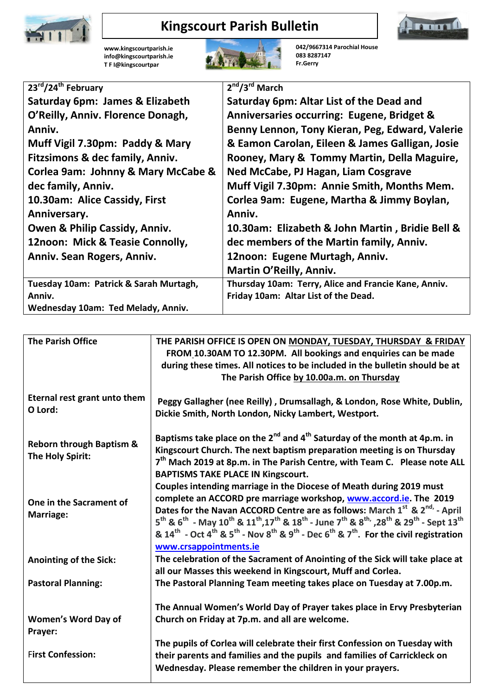

## **Kingscourt Parish Bulletin**



**[www.kingscourtparish.ie](http://www.kingscourtparish.ie/) info@kingscourtparish.ie T F I@kingscourtpar** 



**042/9667314 Parochial House 083 8287147 Fr.Gerry**

| 23rd/24th February                     | $2nd/3rd$ March                                      |
|----------------------------------------|------------------------------------------------------|
| Saturday 6pm: James & Elizabeth        | Saturday 6pm: Altar List of the Dead and             |
| O'Reilly, Anniv. Florence Donagh,      | Anniversaries occurring: Eugene, Bridget &           |
| Anniv.                                 | Benny Lennon, Tony Kieran, Peg, Edward, Valerie      |
| Muff Vigil 7.30pm: Paddy & Mary        | & Eamon Carolan, Eileen & James Galligan, Josie      |
| Fitzsimons & dec family, Anniv.        | Rooney, Mary & Tommy Martin, Della Maguire,          |
| Corlea 9am: Johnny & Mary McCabe &     | Ned McCabe, PJ Hagan, Liam Cosgrave                  |
| dec family, Anniv.                     | Muff Vigil 7.30pm: Annie Smith, Months Mem.          |
| 10.30am: Alice Cassidy, First          | Corlea 9am: Eugene, Martha & Jimmy Boylan,           |
| Anniversary.                           | Anniv.                                               |
| Owen & Philip Cassidy, Anniv.          | 10.30am: Elizabeth & John Martin, Bridie Bell &      |
| 12noon: Mick & Teasie Connolly,        | dec members of the Martin family, Anniv.             |
| Anniv. Sean Rogers, Anniv.             | 12noon: Eugene Murtagh, Anniv.                       |
|                                        | Martin O'Reilly, Anniv.                              |
| Tuesday 10am: Patrick & Sarah Murtagh, | Thursday 10am: Terry, Alice and Francie Kane, Anniv. |
| Anniv.                                 | Friday 10am: Altar List of the Dead.                 |
| Wednesday 10am: Ted Melady, Anniv.     |                                                      |

| <b>The Parish Office</b>                                | THE PARISH OFFICE IS OPEN ON MONDAY, TUESDAY, THURSDAY & FRIDAY<br>FROM 10.30AM TO 12.30PM. All bookings and enquiries can be made<br>during these times. All notices to be included in the bulletin should be at<br>The Parish Office by 10.00a.m. on Thursday                                                                                                                                                                                                                                                                                                                     |
|---------------------------------------------------------|-------------------------------------------------------------------------------------------------------------------------------------------------------------------------------------------------------------------------------------------------------------------------------------------------------------------------------------------------------------------------------------------------------------------------------------------------------------------------------------------------------------------------------------------------------------------------------------|
| Eternal rest grant unto them<br>O Lord:                 | Peggy Gallagher (nee Reilly), Drumsallagh, & London, Rose White, Dublin,<br>Dickie Smith, North London, Nicky Lambert, Westport.                                                                                                                                                                                                                                                                                                                                                                                                                                                    |
| <b>Reborn through Baptism &amp;</b><br>The Holy Spirit: | Baptisms take place on the $2^{nd}$ and $4^{th}$ Saturday of the month at 4p.m. in<br>Kingscourt Church. The next baptism preparation meeting is on Thursday<br>7 <sup>th</sup> Mach 2019 at 8p.m. in The Parish Centre, with Team C. Please note ALL<br><b>BAPTISMS TAKE PLACE IN Kingscourt.</b>                                                                                                                                                                                                                                                                                  |
| One in the Sacrament of<br>Marriage:                    | Couples intending marriage in the Diocese of Meath during 2019 must<br>complete an ACCORD pre marriage workshop, www.accord.ie. The 2019<br>Dates for the Navan ACCORD Centre are as follows: March $1^{st}$ & $2^{nd}$ - April<br>$5^{th}$ & $6^{th}$ - May $10^{th}$ & $11^{th}$ , $17^{th}$ & $18^{th}$ - June $7^{th}$ & $8^{th}$ , $28^{th}$ & $29^{th}$ - Sept $13^{th}$<br>& $14^{\text{th}}$ - Oct $4^{\text{th}}$ & $5^{\text{th}}$ - Nov $8^{\text{th}}$ & $9^{\text{th}}$ - Dec $6^{\text{th}}$ & $7^{\text{th}}$ . For the civil registration<br>www.crsappointments.ie |
| <b>Anointing of the Sick:</b>                           | The celebration of the Sacrament of Anointing of the Sick will take place at<br>all our Masses this weekend in Kingscourt, Muff and Corlea.                                                                                                                                                                                                                                                                                                                                                                                                                                         |
| <b>Pastoral Planning:</b>                               | The Pastoral Planning Team meeting takes place on Tuesday at 7.00p.m.                                                                                                                                                                                                                                                                                                                                                                                                                                                                                                               |
| <b>Women's Word Day of</b>                              | The Annual Women's World Day of Prayer takes place in Ervy Presbyterian<br>Church on Friday at 7p.m. and all are welcome.                                                                                                                                                                                                                                                                                                                                                                                                                                                           |
| Prayer:                                                 | The pupils of Corlea will celebrate their first Confession on Tuesday with                                                                                                                                                                                                                                                                                                                                                                                                                                                                                                          |
| <b>First Confession:</b>                                | their parents and families and the pupils and families of Carrickleck on<br>Wednesday. Please remember the children in your prayers.                                                                                                                                                                                                                                                                                                                                                                                                                                                |
|                                                         |                                                                                                                                                                                                                                                                                                                                                                                                                                                                                                                                                                                     |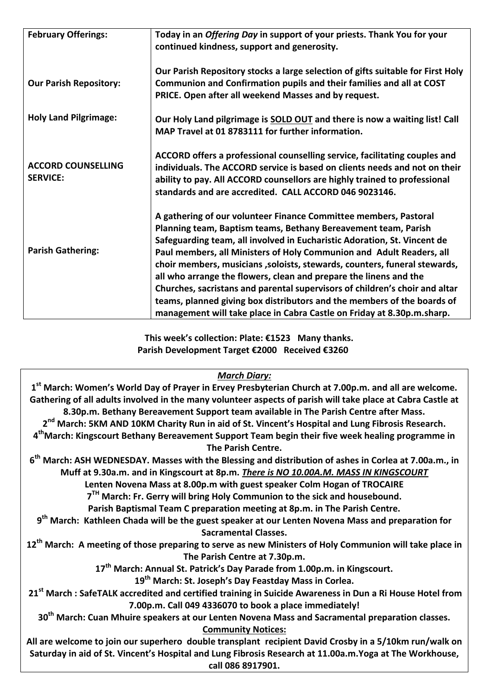| <b>February Offerings:</b>                   | Today in an Offering Day in support of your priests. Thank You for your<br>continued kindness, support and generosity.                                                                                                                                                                                                                                                                                                                                                                                                                                                                                                                                                        |
|----------------------------------------------|-------------------------------------------------------------------------------------------------------------------------------------------------------------------------------------------------------------------------------------------------------------------------------------------------------------------------------------------------------------------------------------------------------------------------------------------------------------------------------------------------------------------------------------------------------------------------------------------------------------------------------------------------------------------------------|
| <b>Our Parish Repository:</b>                | Our Parish Repository stocks a large selection of gifts suitable for First Holy<br>Communion and Confirmation pupils and their families and all at COST<br>PRICE. Open after all weekend Masses and by request.                                                                                                                                                                                                                                                                                                                                                                                                                                                               |
| <b>Holy Land Pilgrimage:</b>                 | Our Holy Land pilgrimage is SOLD OUT and there is now a waiting list! Call<br>MAP Travel at 01 8783111 for further information.                                                                                                                                                                                                                                                                                                                                                                                                                                                                                                                                               |
| <b>ACCORD COUNSELLING</b><br><b>SERVICE:</b> | ACCORD offers a professional counselling service, facilitating couples and<br>individuals. The ACCORD service is based on clients needs and not on their<br>ability to pay. All ACCORD counsellors are highly trained to professional<br>standards and are accredited. CALL ACCORD 046 9023146.                                                                                                                                                                                                                                                                                                                                                                               |
| <b>Parish Gathering:</b>                     | A gathering of our volunteer Finance Committee members, Pastoral<br>Planning team, Baptism teams, Bethany Bereavement team, Parish<br>Safeguarding team, all involved in Eucharistic Adoration, St. Vincent de<br>Paul members, all Ministers of Holy Communion and Adult Readers, all<br>choir members, musicians , soloists, stewards, counters, funeral stewards,<br>all who arrange the flowers, clean and prepare the linens and the<br>Churches, sacristans and parental supervisors of children's choir and altar<br>teams, planned giving box distributors and the members of the boards of<br>management will take place in Cabra Castle on Friday at 8.30p.m.sharp. |

 **This week's collection: Plate: €1523 Many thanks. Parish Development Target €2000 Received €3260**

## *March Diary:*

| 1 <sup>st</sup> March: Women's World Day of Prayer in Ervey Presbyterian Church at 7.00p.m. and all are welcome.      |
|-----------------------------------------------------------------------------------------------------------------------|
| Gathering of all adults involved in the many volunteer aspects of parish will take place at Cabra Castle at           |
| 8.30p.m. Bethany Bereavement Support team available in The Parish Centre after Mass.                                  |
| 2 <sup>nd</sup> March: 5KM AND 10KM Charity Run in aid of St. Vincent's Hospital and Lung Fibrosis Research.          |
| 4 <sup>th</sup> March: Kingscourt Bethany Bereavement Support Team begin their five week healing programme in         |
| The Parish Centre.                                                                                                    |
| 6 <sup>th</sup> March: ASH WEDNESDAY. Masses with the Blessing and distribution of ashes in Corlea at 7.00a.m., in    |
| Muff at 9.30a.m. and in Kingscourt at 8p.m. There is NO 10.00A.M. MASS IN KINGSCOURT                                  |
| Lenten Novena Mass at 8.00p.m with guest speaker Colm Hogan of TROCAIRE                                               |
| 7 <sup>TH</sup> March: Fr. Gerry will bring Holy Communion to the sick and housebound.                                |
| Parish Baptismal Team C preparation meeting at 8p.m. in The Parish Centre.                                            |
| 9 <sup>th</sup> March: Kathleen Chada will be the guest speaker at our Lenten Novena Mass and preparation for         |
| <b>Sacramental Classes.</b>                                                                                           |
| 12 <sup>th</sup> March: A meeting of those preparing to serve as new Ministers of Holy Communion will take place in   |
| The Parish Centre at 7.30p.m.                                                                                         |
| 17 <sup>th</sup> March: Annual St. Patrick's Day Parade from 1.00p.m. in Kingscourt.                                  |
| 19 <sup>th</sup> March: St. Joseph's Day Feastday Mass in Corlea.                                                     |
| 21 <sup>st</sup> March : SafeTALK accredited and certified training in Suicide Awareness in Dun a Ri House Hotel from |
| 7.00p.m. Call 049 4336070 to book a place immediately!                                                                |
| 30 <sup>th</sup> March: Cuan Mhuire speakers at our Lenten Novena Mass and Sacramental preparation classes.           |
| <b>Community Notices:</b>                                                                                             |
| All are welcome to join our superhero double transplant recipient David Crosby in a 5/10km run/walk on                |
| Saturday in aid of St. Vincent's Hospital and Lung Fibrosis Research at 11.00a.m. Yoga at The Workhouse,              |
| call 086 8917901.                                                                                                     |